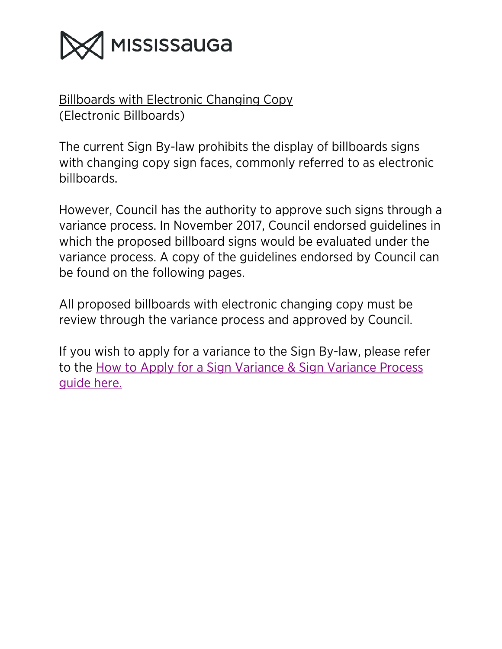

Billboards with Electronic Changing Copy (Electronic Billboards)

The current Sign By-law prohibits the display of billboards signs with changing copy sign faces, commonly referred to as electronic billboards.

However, Council has the authority to approve such signs through a variance process. In November 2017, Council endorsed guidelines in which the proposed billboard signs would be evaluated under the variance process. A copy of the guidelines endorsed by Council can be found on the following pages.

All proposed billboards with electronic changing copy must be review through the variance process and approved by Council.

If you wish to apply for a variance to the Sign By-law, please refer to the [How to Apply for a Sign Variance & Sign Variance Process](http://www7.mississauga.ca/Departments/PB/signvariance.pdf)  [guide here.](http://www7.mississauga.ca/Departments/PB/signvariance.pdf)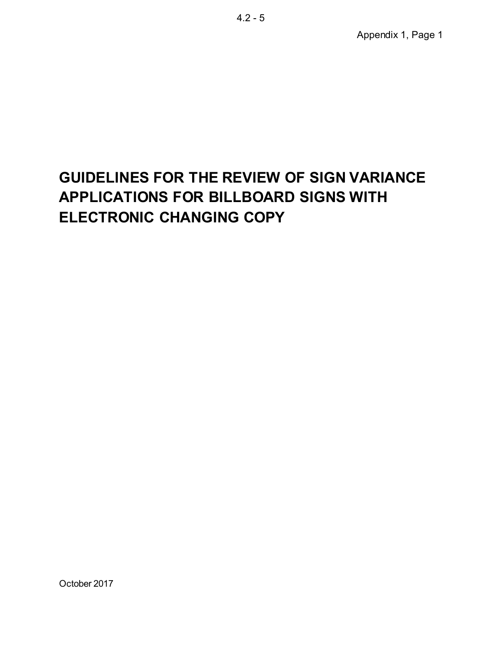# **GUIDELINES FOR THE REVIEW OF SIGN VARIANCE APPLICATIONS FOR BILLBOARD SIGNS WITH ELECTRONIC CHANGING COPY**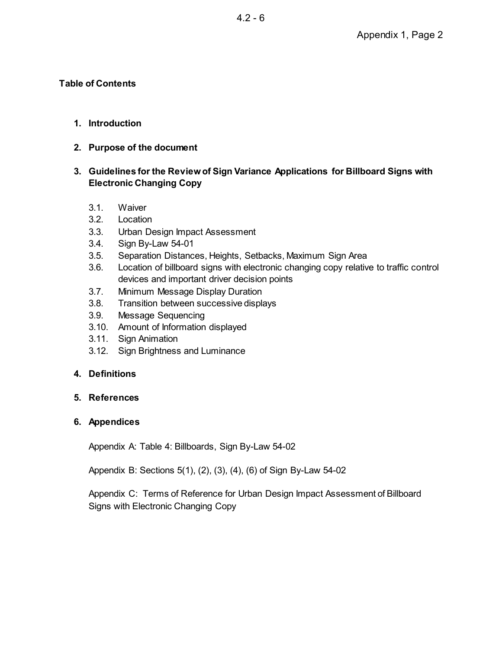#### **Table of Contents**

#### **1. Introduction**

**2. Purpose of the document** 

## **3. Guidelines for the Review of Sign Variance Applications for Billboard Signs with Electronic Changing Copy**

- 3.1. Waiver
- 3.2. Location
- 3.3. Urban Design Impact Assessment
- 3.4. Sign By-Law 54-01
- 3.5. Separation Distances, Heights, Setbacks, Maximum Sign Area
- 3.6. Location of billboard signs with electronic changing copy relative to traffic control devices and important driver decision points
- 3.7. Minimum Message Display Duration
- 3.8. Transition between successive displays
- 3.9. Message Sequencing
- 3.10. Amount of Information displayed
- 3.11. Sign Animation
- 3.12. Sign Brightness and Luminance

#### **4. Definitions**

#### **5. References**

#### **6. Appendices**

Appendix A: Table 4: Billboards, Sign By-Law 54-02

Appendix B: Sections 5(1), (2), (3), (4), (6) of Sign By-Law 54-02

Appendix C: Terms of Reference for Urban Design Impact Assessment of Billboard Signs with Electronic Changing Copy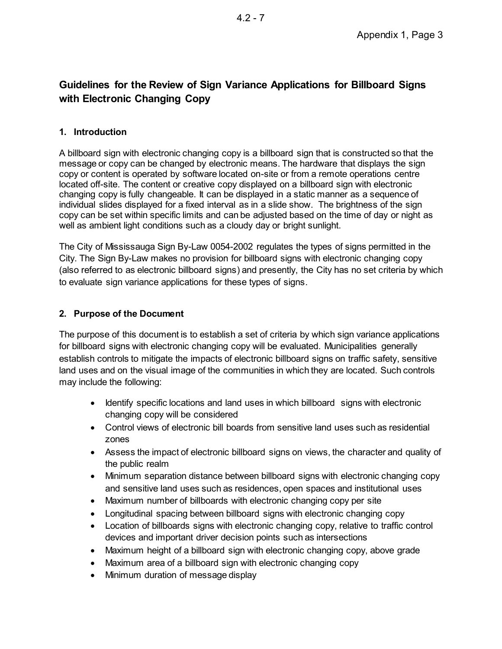# **Guidelines for the Review of Sign Variance Applications for Billboard Signs with Electronic Changing Copy**

## **1. Introduction**

A billboard sign with electronic changing copy is a billboard sign that is constructed so that the message or copy can be changed by electronic means. The hardware that displays the sign copy or content is operated by software located on-site or from a remote operations centre located off-site. The content or creative copy displayed on a billboard sign with electronic changing copy is fully changeable. It can be displayed in a static manner as a sequence of individual slides displayed for a fixed interval as in a slide show. The brightness of the sign copy can be set within specific limits and can be adjusted based on the time of day or night as well as ambient light conditions such as a cloudy day or bright sunlight.

The City of Mississauga Sign By-Law 0054-2002 regulates the types of signs permitted in the City. The Sign By-Law makes no provision for billboard signs with electronic changing copy (also referred to as electronic billboard signs) and presently, the City has no set criteria by which to evaluate sign variance applications for these types of signs.

## **2. Purpose of the Document**

The purpose of this document is to establish a set of criteria by which sign variance applications for billboard signs with electronic changing copy will be evaluated. Municipalities generally establish controls to mitigate the impacts of electronic billboard signs on traffic safety, sensitive land uses and on the visual image of the communities in which they are located. Such controls may include the following:

- · Identify specific locations and land uses in which billboard signs with electronic changing copy will be considered
- · Control views of electronic bill boards from sensitive land uses such as residential zones
- · Assess the impact of electronic billboard signs on views, the character and quality of the public realm
- · Minimum separation distance between billboard signs with electronic changing copy and sensitive land uses such as residences, open spaces and institutional uses
- · Maximum number of billboards with electronic changing copy per site
- · Longitudinal spacing between billboard signs with electronic changing copy
- · Location of billboards signs with electronic changing copy, relative to traffic control devices and important driver decision points such as intersections
- · Maximum height of a billboard sign with electronic changing copy, above grade
- Maximum area of a billboard sign with electronic changing copy
- Minimum duration of message display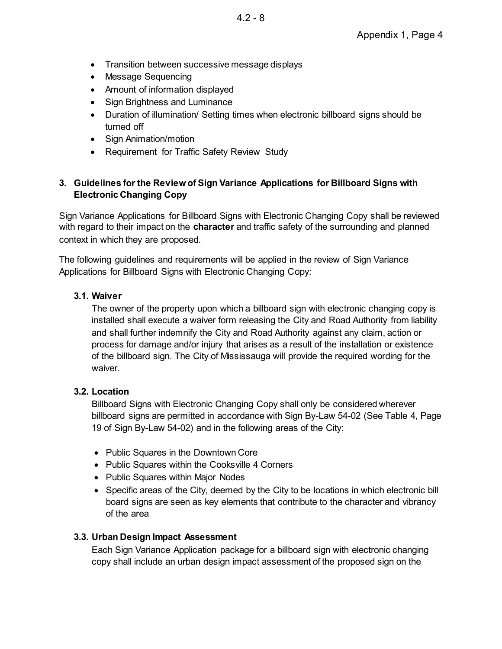- Transition between successive message displays
- · Message Sequencing
- · Amount of information displayed
- Sign Brightness and Luminance
- · Duration of illumination/ Setting times when electronic billboard signs should be turned off
- Sign Animation/motion
- · Requirement for Traffic Safety Review Study

## **3. Guidelines for the Review of Sign Variance Applications for Billboard Signs with Electronic Changing Copy**

Sign Variance Applications for Billboard Signs with Electronic Changing Copy shall be reviewed with regard to their impact on the **character** and traffic safety of the surrounding and planned context in which they are proposed.

The following guidelines and requirements will be applied in the review of Sign Variance Applications for Billboard Signs with Electronic Changing Copy:

## **3.1. Waiver**

The owner of the property upon which a billboard sign with electronic changing copy is installed shall execute a waiver form releasing the City and Road Authority from liability and shall further indemnify the City and Road Authority against any claim, action or process for damage and/or injury that arises as a result of the installation or existence of the billboard sign. The City of Mississauga will provide the required wording for the waiver.

## **3.2. Location**

Billboard Signs with Electronic Changing Copy shall only be considered wherever billboard signs are permitted in accordance with Sign By-Law 54-02 (See Table 4, Page 19 of Sign By-Law 54-02) and in the following areas of the City:

- · Public Squares in the Downtown Core
- Public Squares within the Cooksville 4 Corners
- Public Squares within Major Nodes
- · Specific areas of the City, deemed by the City to be locations in which electronic bill board signs are seen as key elements that contribute to the character and vibrancy of the area

## **3.3. Urban Design Impact Assessment**

Each Sign Variance Application package for a billboard sign with electronic changing copy shall include an urban design impact assessment of the proposed sign on the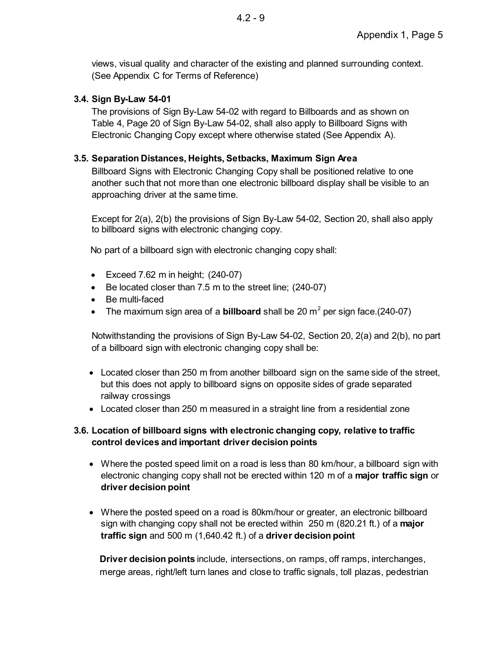views, visual quality and character of the existing and planned surrounding context. (See Appendix C for Terms of Reference)

## **3.4. Sign By-Law 54-01**

The provisions of Sign By-Law 54-02 with regard to Billboards and as shown on Table 4, Page 20 of Sign By-Law 54-02, shall also apply to Billboard Signs with Electronic Changing Copy except where otherwise stated (See Appendix A).

## **3.5. Separation Distances, Heights, Setbacks, Maximum Sign Area**

Billboard Signs with Electronic Changing Copy shall be positioned relative to one another such that not more than one electronic billboard display shall be visible to an approaching driver at the same time.

Except for 2(a), 2(b) the provisions of Sign By-Law 54-02, Section 20, shall also apply to billboard signs with electronic changing copy.

No part of a billboard sign with electronic changing copy shall:

- Exceed  $7.62$  m in height;  $(240-07)$
- · Be located closer than 7.5 m to the street line; (240-07)
- · Be multi-faced
- The maximum sign area of a **billboard** shall be 20  $m^2$  per sign face.(240-07)

Notwithstanding the provisions of Sign By-Law 54-02, Section 20, 2(a) and 2(b), no part of a billboard sign with electronic changing copy shall be:

- Located closer than 250 m from another billboard sign on the same side of the street, but this does not apply to billboard signs on opposite sides of grade separated railway crossings
- · Located closer than 250 m measured in a straight line from a residential zone

## **3.6. Location of billboard signs with electronic changing copy, relative to traffic control devices and important driver decision points**

- Where the posted speed limit on a road is less than 80 km/hour, a billboard sign with electronic changing copy shall not be erected within 120 m of a **major traffic sign** or **driver decision point**
- · Where the posted speed on a road is 80km/hour or greater, an electronic billboard sign with changing copy shall not be erected within 250 m (820.21 ft.) of a **major traffic sign** and 500 m (1,640.42 ft.) of a **driver decision point**

**Driver decision points** include, intersections, on ramps, off ramps, interchanges, merge areas, right/left turn lanes and close to traffic signals, toll plazas, pedestrian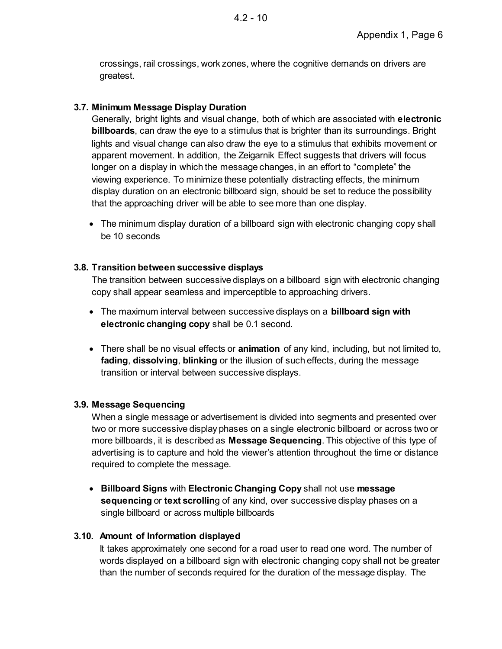crossings, rail crossings, work zones, where the cognitive demands on drivers are greatest.

## **3.7. Minimum Message Display Duration**

Generally, bright lights and visual change, both of which are associated with **electronic billboards**, can draw the eye to a stimulus that is brighter than its surroundings. Bright lights and visual change can also draw the eye to a stimulus that exhibits movement or apparent movement. In addition, the Zeigarnik Effect suggests that drivers will focus longer on a display in which the message changes, in an effort to "complete" the viewing experience. To minimize these potentially distracting effects, the minimum display duration on an electronic billboard sign, should be set to reduce the possibility that the approaching driver will be able to see more than one display.

• The minimum display duration of a billboard sign with electronic changing copy shall be 10 seconds

## **3.8. Transition between successive displays**

The transition between successive displays on a billboard sign with electronic changing copy shall appear seamless and imperceptible to approaching drivers.

- · The maximum interval between successive displays on a **billboard sign with electronic changing copy** shall be 0.1 second.
- · There shall be no visual effects or **animation** of any kind, including, but not limited to, **fading**, **dissolving**, **blinking** or the illusion of such effects, during the message transition or interval between successive displays.

# **3.9. Message Sequencing**

When a single message or advertisement is divided into segments and presented over two or more successive display phases on a single electronic billboard or across two or more billboards, it is described as **Message Sequencing**. This objective of this type of advertising is to capture and hold the viewer's attention throughout the time or distance required to complete the message.

· **Billboard Signs** with **Electronic Changing Copy** shall not use **message sequencing** or **text scrollin**g of any kind, over successive display phases on a single billboard or across multiple billboards

# **3.10. Amount of Information displayed**

It takes approximately one second for a road user to read one word. The number of words displayed on a billboard sign with electronic changing copy shall not be greater than the number of seconds required for the duration of the message display. The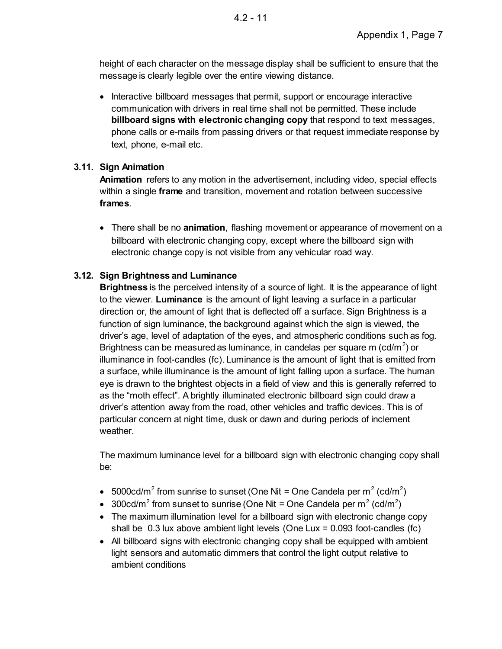height of each character on the message display shall be sufficient to ensure that the message is clearly legible over the entire viewing distance.

· Interactive billboard messages that permit, support or encourage interactive communication with drivers in real time shall not be permitted. These include **billboard signs with electronic changing copy** that respond to text messages, phone calls or e-mails from passing drivers or that request immediate response by text, phone, e-mail etc.

## **3.11. Sign Animation**

**Animation** refers to any motion in the advertisement, including video, special effects within a single **frame** and transition, movement and rotation between successive **frames**.

· There shall be no **animation**, flashing movement or appearance of movement on a billboard with electronic changing copy, except where the billboard sign with electronic change copy is not visible from any vehicular road way.

# **3.12. Sign Brightness and Luminance**

**Brightness** is the perceived intensity of a source of light. It is the appearance of light to the viewer. **Luminance** is the amount of light leaving a surface in a particular direction or, the amount of light that is deflected off a surface. Sign Brightness is a function of sign luminance, the background against which the sign is viewed, the driver's age, level of adaptation of the eyes, and atmospheric conditions such as fog. Brightness can be measured as luminance, in candelas per square m (cd/m<sup>2</sup>) or illuminance in foot-candles (fc). Luminance is the amount of light that is emitted from a surface, while illuminance is the amount of light falling upon a surface. The human eye is drawn to the brightest objects in a field of view and this is generally referred to as the "moth effect". A brightly illuminated electronic billboard sign could draw a driver's attention away from the road, other vehicles and traffic devices. This is of particular concern at night time, dusk or dawn and during periods of inclement weather.

The maximum luminance level for a billboard sign with electronic changing copy shall be:

- 5000cd/m<sup>2</sup> from sunrise to sunset (One Nit = One Candela per m<sup>2</sup> (cd/m<sup>2</sup>)
- 300cd/m<sup>2</sup> from sunset to sunrise (One Nit = One Candela per m<sup>2</sup> (cd/m<sup>2</sup>)
- The maximum illumination level for a billboard sign with electronic change copy shall be 0.3 lux above ambient light levels (One Lux = 0.093 foot-candles (fc)
- · All billboard signs with electronic changing copy shall be equipped with ambient light sensors and automatic dimmers that control the light output relative to ambient conditions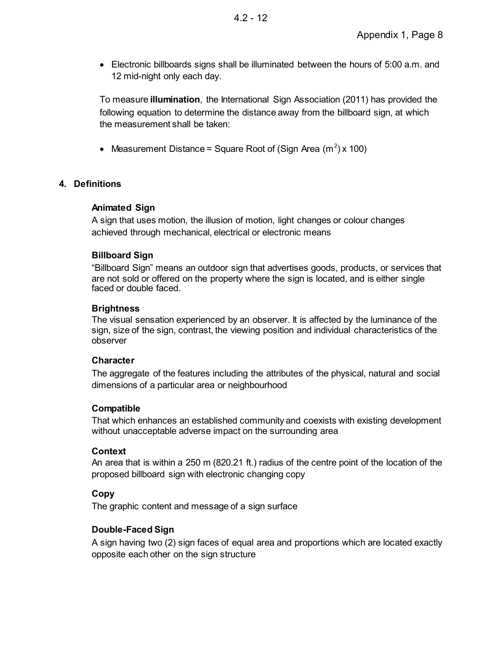· Electronic billboards signs shall be illuminated between the hours of 5:00 a.m. and 12 mid-night only each day.

To measure **illumination**, the International Sign Association (2011) has provided the following equation to determine the distance away from the billboard sign, at which the measurement shall be taken:

• Measurement Distance = Square Root of (Sign Area  $(m^2)$  x 100)

## **4. Definitions**

#### **Animated Sign**

A sign that uses motion, the illusion of motion, light changes or colour changes achieved through mechanical, electrical or electronic means

#### **Billboard Sign**

"Billboard Sign" means an outdoor sign that advertises goods, products, or services that are not sold or offered on the property where the sign is located, and is either single faced or double faced.

#### **Brightness**

The visual sensation experienced by an observer. It is affected by the luminance of the sign, size of the sign, contrast, the viewing position and individual characteristics of the observer

#### **Character**

The aggregate of the features including the attributes of the physical, natural and social dimensions of a particular area or neighbourhood

#### **Compatible**

That which enhances an established community and coexists with existing development without unacceptable adverse impact on the surrounding area

#### **Context**

An area that is within a 250 m (820.21 ft.) radius of the centre point of the location of the proposed billboard sign with electronic changing copy

## **Copy**

The graphic content and message of a sign surface

## **Double-Faced Sign**

A sign having two (2) sign faces of equal area and proportions which are located exactly opposite each other on the sign structure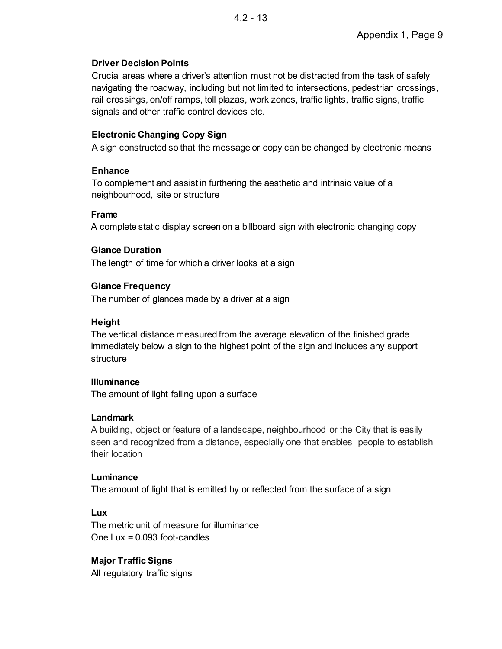## **Driver Decision Points**

Crucial areas where a driver's attention must not be distracted from the task of safely navigating the roadway, including but not limited to intersections, pedestrian crossings, rail crossings, on/off ramps, toll plazas, work zones, traffic lights, traffic signs, traffic signals and other traffic control devices etc.

## **Electronic Changing Copy Sign**

A sign constructed so that the message or copy can be changed by electronic means

#### **Enhance**

To complement and assist in furthering the aesthetic and intrinsic value of a neighbourhood, site or structure

#### **Frame**

A complete static display screen on a billboard sign with electronic changing copy

## **Glance Duration**

The length of time for which a driver looks at a sign

## **Glance Frequency**

The number of glances made by a driver at a sign

## **Height**

The vertical distance measured from the average elevation of the finished grade immediately below a sign to the highest point of the sign and includes any support structure

## **Illuminance**

The amount of light falling upon a surface

## **Landmark**

A building, object or feature of a landscape, neighbourhood or the City that is easily seen and recognized from a distance, especially one that enables people to establish their location

#### **Luminance**

The amount of light that is emitted by or reflected from the surface of a sign

## **Lux**

The metric unit of measure for illuminance One Lux = 0.093 foot-candles

## **Major Traffic Signs**

All regulatory traffic signs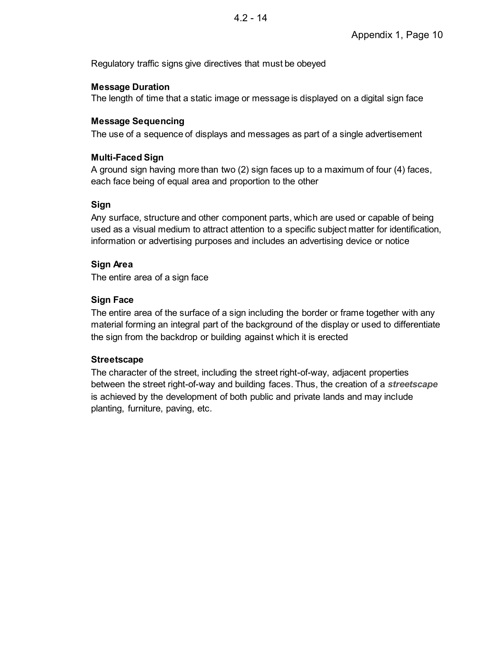Regulatory traffic signs give directives that must be obeyed

#### **Message Duration**

The length of time that a static image or message is displayed on a digital sign face

#### **Message Sequencing**

The use of a sequence of displays and messages as part of a single advertisement

#### **Multi-Faced Sign**

A ground sign having more than two (2) sign faces up to a maximum of four (4) faces, each face being of equal area and proportion to the other

#### **Sign**

Any surface, structure and other component parts, which are used or capable of being used as a visual medium to attract attention to a specific subject matter for identification, information or advertising purposes and includes an advertising device or notice

#### **Sign Area**

The entire area of a sign face

#### **Sign Face**

The entire area of the surface of a sign including the border or frame together with any material forming an integral part of the background of the display or used to differentiate the sign from the backdrop or building against which it is erected

#### **Streetscape**

The character of the street, including the street right-of-way, adjacent properties between the street right-of-way and building faces. Thus, the creation of a *streetscape*  is achieved by the development of both public and private lands and may include planting, furniture, paving, etc.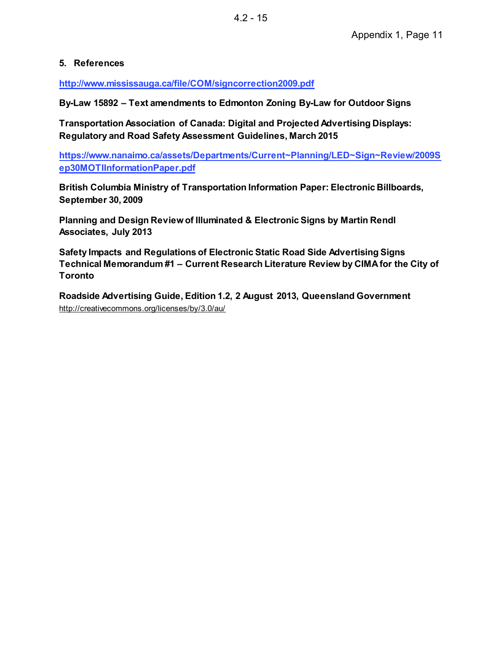## **5. References**

**http://www.mississauga.ca/file/COM/signcorrection2009.pdf**

**By-Law 15892 Text amendments to Edmonton Zoning By-Law for Outdoor Signs** 

**Transportation Association of Canada: Digital and Projected Advertising Displays: Regulatory and Road Safety Assessment Guidelines, March 2015** 

**https://www.nanaimo.ca/assets/Departments/Current~Planning/LED~Sign~Review/2009S ep30MOTIInformationPaper.pdf**

**British Columbia Ministry of Transportation Information Paper: Electronic Billboards, September 30, 2009** 

**Planning and Design Review of Illuminated & Electronic Signs by Martin Rendl Associates, July 2013** 

**Safety Impacts and Regulations of Electronic Static Road Side Advertising Signs Technical Memorandum #1 Current Research Literature Review by CIMA for the City of Toronto** 

**Roadside Advertising Guide, Edition 1.2, 2 August 2013, Queensland Government**  http://creativecommons.org/licenses/by/3.0/au/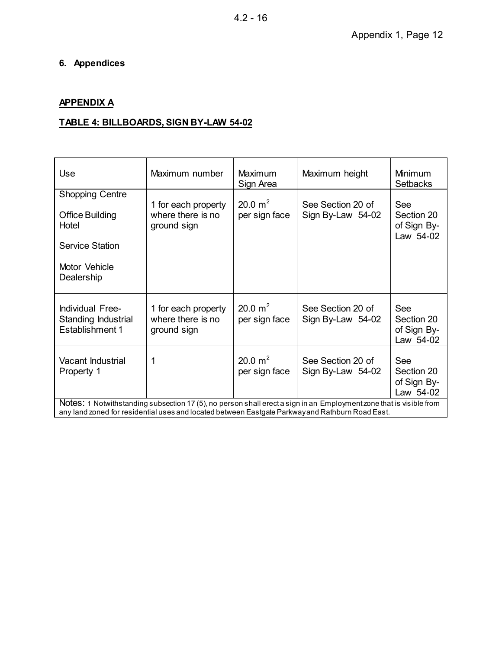# **6. Appendices**

# **APPENDIX A**

# **TABLE 4: BILLBOARDS, SIGN BY-LAW 54-02**

| Use                                                                                                                                                                                                                    | Maximum number                                          | <b>Maximum</b><br>Sign Area | Maximum height                         | <b>Minimum</b><br><b>Setbacks</b>             |
|------------------------------------------------------------------------------------------------------------------------------------------------------------------------------------------------------------------------|---------------------------------------------------------|-----------------------------|----------------------------------------|-----------------------------------------------|
| <b>Shopping Centre</b><br><b>Office Building</b>                                                                                                                                                                       | 1 for each property<br>where there is no                | 20.0 $m^2$<br>per sign face | See Section 20 of<br>Sign By-Law 54-02 | See<br>Section 20                             |
| Hotel<br><b>Service Station</b>                                                                                                                                                                                        | ground sign                                             |                             |                                        | of Sign By-<br>Law 54-02                      |
| Motor Vehicle                                                                                                                                                                                                          |                                                         |                             |                                        |                                               |
| Dealership                                                                                                                                                                                                             |                                                         |                             |                                        |                                               |
| Individual Free-<br>Standing Industrial<br><b>Establishment 1</b>                                                                                                                                                      | 1 for each property<br>where there is no<br>ground sign | 20.0 $m^2$<br>per sign face | See Section 20 of<br>Sign By-Law 54-02 | See<br>Section 20<br>of Sign By-<br>Law 54-02 |
| Vacant Industrial<br>Property 1                                                                                                                                                                                        | 1                                                       | 20.0 $m^2$<br>per sign face | See Section 20 of<br>Sign By-Law 54-02 | See<br>Section 20<br>of Sign By-<br>Law 54-02 |
| Notes: 1 Notwithstanding subsection 17 (5), no person shall erect a sign in an Employment zone that is visible from<br>any land zoned for residential uses and located between Eastgate Parkwayand Rathburn Road East. |                                                         |                             |                                        |                                               |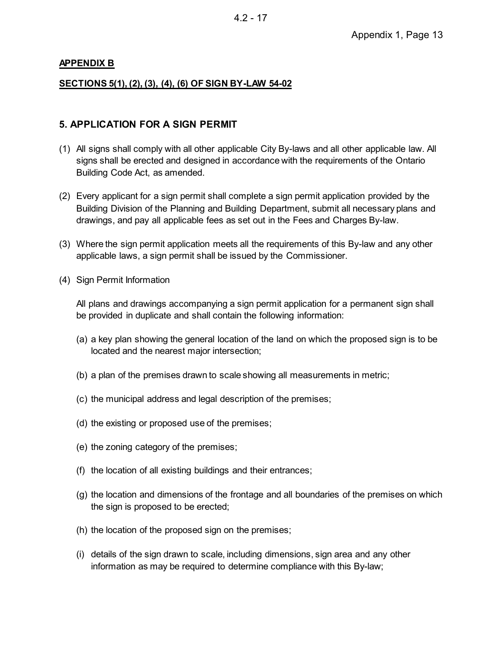#### **APPENDIX B**

#### **SECTIONS 5(1), (2), (3), (4), (6) OF SIGN BY-LAW 54-02**

#### **5. APPLICATION FOR A SIGN PERMIT**

- (1) All signs shall comply with all other applicable City By-laws and all other applicable law. All signs shall be erected and designed in accordance with the requirements of the Ontario Building Code Act, as amended.
- (2) Every applicant for a sign permit shall complete a sign permit application provided by the Building Division of the Planning and Building Department, submit all necessary plans and drawings, and pay all applicable fees as set out in the Fees and Charges By-law.
- (3) Where the sign permit application meets all the requirements of this By-law and any other applicable laws, a sign permit shall be issued by the Commissioner.
- (4) Sign Permit Information

All plans and drawings accompanying a sign permit application for a permanent sign shall be provided in duplicate and shall contain the following information:

- (a) a key plan showing the general location of the land on which the proposed sign is to be located and the nearest major intersection;
- (b) a plan of the premises drawn to scale showing all measurements in metric;
- (c) the municipal address and legal description of the premises;
- (d) the existing or proposed use of the premises;
- (e) the zoning category of the premises;
- (f) the location of all existing buildings and their entrances;
- (g) the location and dimensions of the frontage and all boundaries of the premises on which the sign is proposed to be erected;
- (h) the location of the proposed sign on the premises;
- (i) details of the sign drawn to scale, including dimensions, sign area and any other information as may be required to determine compliance with this By-law;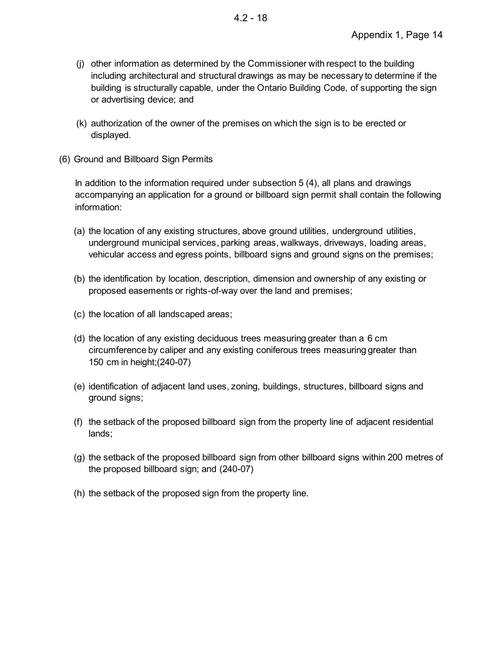- (j) other information as determined by the Commissioner with respect to the building including architectural and structural drawings as may be necessary to determine if the building is structurally capable, under the Ontario Building Code, of supporting the sign or advertising device; and
- (k) authorization of the owner of the premises on which the sign is to be erected or displayed.
- (6) Ground and Billboard Sign Permits

In addition to the information required under subsection 5 (4), all plans and drawings accompanying an application for a ground or billboard sign permit shall contain the following information:

- (a) the location of any existing structures, above ground utilities, underground utilities, underground municipal services, parking areas, walkways, driveways, loading areas, vehicular access and egress points, billboard signs and ground signs on the premises;
- (b) the identification by location, description, dimension and ownership of any existing or proposed easements or rights-of-way over the land and premises;
- (c) the location of all landscaped areas;
- (d) the location of any existing deciduous trees measuring greater than a 6 cm circumference by caliper and any existing coniferous trees measuring greater than 150 cm in height;(240-07)
- (e) identification of adjacent land uses, zoning, buildings, structures, billboard signs and ground signs;
- (f) the setback of the proposed billboard sign from the property line of adjacent residential lands;
- (g) the setback of the proposed billboard sign from other billboard signs within 200 metres of the proposed billboard sign; and (240-07)
- (h) the setback of the proposed sign from the property line.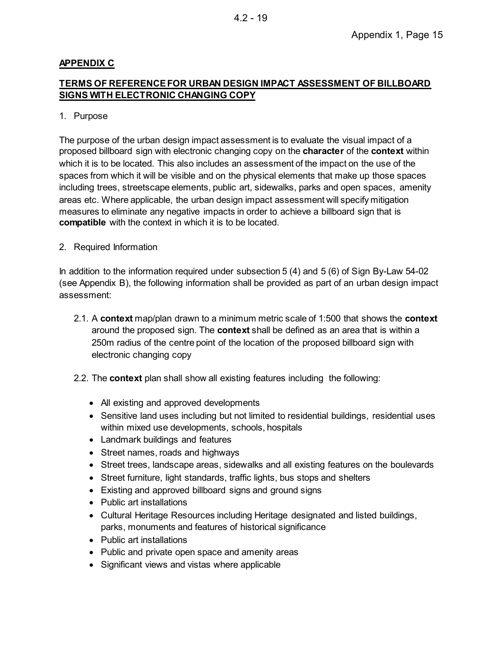## **APPENDIX C**

## **TERMS OF REFERENCE FOR URBAN DESIGN IMPACT ASSESSMENT OF BILLBOARD SIGNS WITH ELECTRONIC CHANGING COPY**

#### 1. Purpose

The purpose of the urban design impact assessment is to evaluate the visual impact of a proposed billboard sign with electronic changing copy on the **character** of the **context** within which it is to be located. This also includes an assessment of the impact on the use of the spaces from which it will be visible and on the physical elements that make up those spaces including trees, streetscape elements, public art, sidewalks, parks and open spaces, amenity areas etc. Where applicable, the urban design impact assessment will specify mitigation measures to eliminate any negative impacts in order to achieve a billboard sign that is **compatible** with the context in which it is to be located.

2. Required Information

In addition to the information required under subsection 5 (4) and 5 (6) of Sign By-Law 54-02 (see Appendix B), the following information shall be provided as part of an urban design impact assessment:

- 2.1. A **context** map/plan drawn to a minimum metric scale of 1:500 that shows the **context** around the proposed sign. The **context** shall be defined as an area that is within a 250m radius of the centre point of the location of the proposed billboard sign with electronic changing copy
- 2.2. The **context** plan shall show all existing features including the following:
	- All existing and approved developments
	- · Sensitive land uses including but not limited to residential buildings, residential uses within mixed use developments, schools, hospitals
	- · Landmark buildings and features
	- · Street names, roads and highways
	- · Street trees, landscape areas, sidewalks and all existing features on the boulevards
	- Street furniture, light standards, traffic lights, bus stops and shelters
	- · Existing and approved billboard signs and ground signs
	- Public art installations
	- · Cultural Heritage Resources including Heritage designated and listed buildings, parks, monuments and features of historical significance
	- Public art installations
	- · Public and private open space and amenity areas
	- · Significant views and vistas where applicable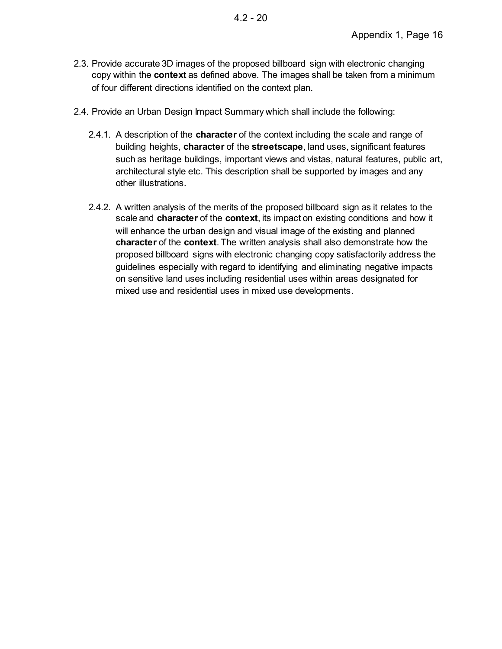- 2.3. Provide accurate 3D images of the proposed billboard sign with electronic changing copy within the **context** as defined above. The images shall be taken from a minimum of four different directions identified on the context plan.
- 2.4. Provide an Urban Design Impact Summary which shall include the following:
	- 2.4.1. A description of the **character** of the context including the scale and range of building heights, **character** of the **streetscape**, land uses, significant features such as heritage buildings, important views and vistas, natural features, public art, architectural style etc. This description shall be supported by images and any other illustrations.
	- 2.4.2. A written analysis of the merits of the proposed billboard sign as it relates to the scale and **character** of the **context**, its impact on existing conditions and how it will enhance the urban design and visual image of the existing and planned **character** of the **context**. The written analysis shall also demonstrate how the proposed billboard signs with electronic changing copy satisfactorily address the guidelines especially with regard to identifying and eliminating negative impacts on sensitive land uses including residential uses within areas designated for mixed use and residential uses in mixed use developments.